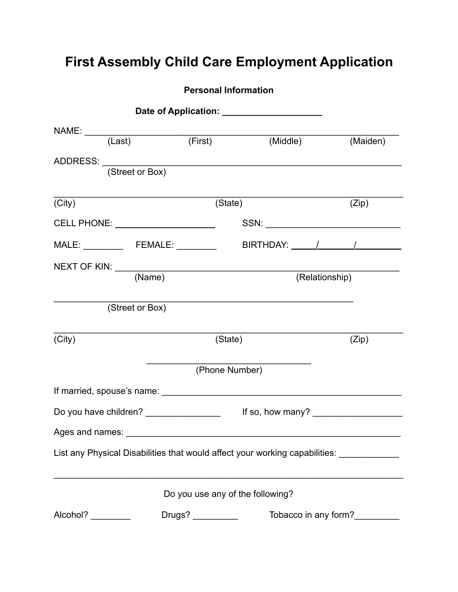# **First Assembly Child Care Employment Application**

|                                                                                         |                 | <b>Personal Information</b>      |          |                |                      |
|-----------------------------------------------------------------------------------------|-----------------|----------------------------------|----------|----------------|----------------------|
|                                                                                         |                 |                                  |          |                |                      |
|                                                                                         |                 |                                  |          |                |                      |
|                                                                                         |                 | (First)                          | (Middle) |                | (Maiden)             |
| ADDRESS: (Street or Box)                                                                |                 |                                  |          |                |                      |
|                                                                                         |                 |                                  |          |                |                      |
| (City)                                                                                  |                 | (State)                          |          |                | (Zip)                |
|                                                                                         |                 |                                  |          |                |                      |
|                                                                                         |                 |                                  |          |                |                      |
| NEXT OF KIN: (Name)                                                                     |                 |                                  |          |                |                      |
|                                                                                         |                 |                                  |          | (Relationship) |                      |
|                                                                                         | (Street or Box) |                                  |          |                |                      |
| (City)                                                                                  |                 | (State)                          |          |                | (Zip)                |
|                                                                                         |                 | (Phone Number)                   |          |                |                      |
|                                                                                         |                 |                                  |          |                |                      |
| Do you have children? ________________                                                  |                 |                                  |          |                | If so, how many?     |
|                                                                                         |                 |                                  |          |                |                      |
| List any Physical Disabilities that would affect your working capabilities: ___________ |                 |                                  |          |                |                      |
|                                                                                         |                 | Do you use any of the following? |          |                |                      |
| Alcohol?                                                                                |                 |                                  |          |                | Tobacco in any form? |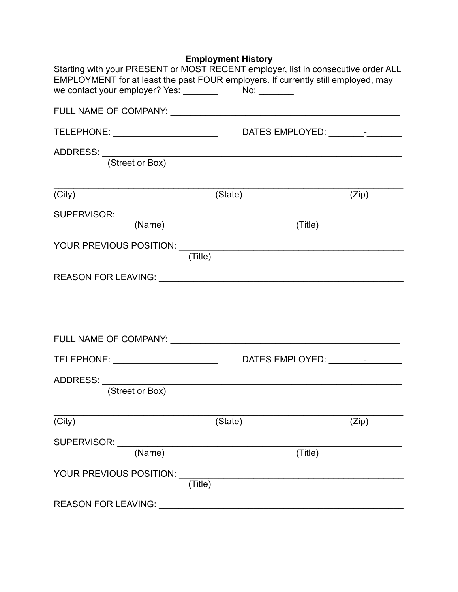| <b>Employment History</b> |  |  |  |
|---------------------------|--|--|--|
|---------------------------|--|--|--|

| Starting with your PRESENT or MOST RECENT employer, list in consecutive order ALL<br>EMPLOYMENT for at least the past FOUR employers. If currently still employed, may |         |         |
|------------------------------------------------------------------------------------------------------------------------------------------------------------------------|---------|---------|
|                                                                                                                                                                        |         |         |
| TELEPHONE: _________________________                                                                                                                                   |         |         |
| ADDRESS: (Street or Box)                                                                                                                                               |         |         |
| (City)                                                                                                                                                                 | (State) | (Zip)   |
|                                                                                                                                                                        |         |         |
| SUPERVISOR: (Name)                                                                                                                                                     |         | (Title) |
|                                                                                                                                                                        | (Title) |         |
|                                                                                                                                                                        |         |         |
|                                                                                                                                                                        |         |         |
| TELEPHONE: ________________________                                                                                                                                    |         |         |
| (Street or Box)                                                                                                                                                        |         |         |
| (City)                                                                                                                                                                 | (State) | (Zip)   |
| SUPERVISOR: _____<br>(Name)                                                                                                                                            |         | (Title) |
| YOUR PREVIOUS POSITION: U                                                                                                                                              | (Title) |         |
| REASON FOR LEAVING: University Press, 2014                                                                                                                             |         |         |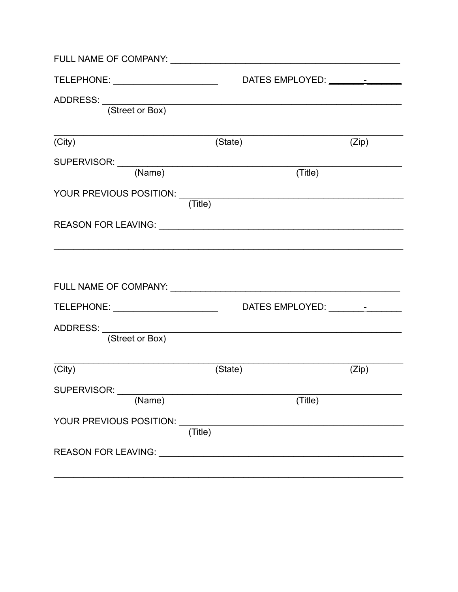| TELEPHONE: ________________________ | DATES EMPLOYED: _____________                            |       |
|-------------------------------------|----------------------------------------------------------|-------|
| ADDRESS: (Street or Box)            |                                                          |       |
|                                     |                                                          |       |
| (City)                              | (State)                                                  | (Zip) |
|                                     |                                                          |       |
| SUPERVISOR: (Name)                  | (Title)                                                  |       |
|                                     | (Title)                                                  |       |
|                                     | REASON FOR LEAVING: University of the ASSON FOR LEAVING: |       |
|                                     |                                                          |       |
| ADDRESS: <u>(Street or Box)</u>     |                                                          |       |
| (City)                              | (State)                                                  | (Zip) |
| SUPERVISOR: __<br>(Name)            | (Title)                                                  |       |
|                                     |                                                          |       |
| YOUR PREVIOUS POSITION: ____        | (Title)                                                  |       |
|                                     |                                                          |       |
|                                     |                                                          |       |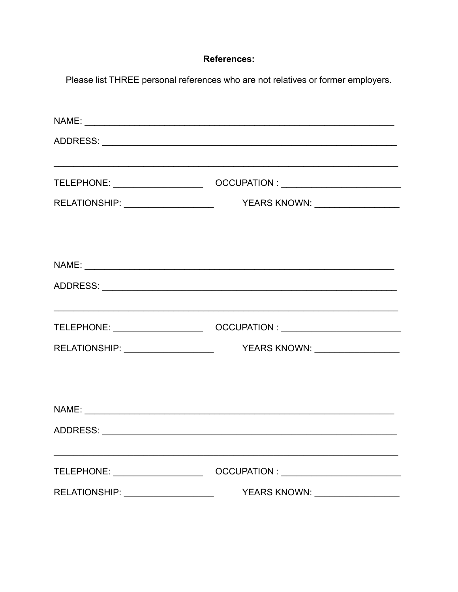### **References:**

Please list THREE personal references who are not relatives or former employers.

|                                   | ,我们也不会有什么。""我们的人,我们也不会有什么?""我们的人,我们也不会有什么?""我们的人,我们也不会有什么?""我们的人,我们也不会有什么?""我们的人                                     |
|-----------------------------------|----------------------------------------------------------------------------------------------------------------------|
|                                   |                                                                                                                      |
|                                   |                                                                                                                      |
|                                   |                                                                                                                      |
|                                   |                                                                                                                      |
|                                   |                                                                                                                      |
|                                   |                                                                                                                      |
|                                   | <u> 1989 - Jan James James James James James James James James James James James James James James James James J</u> |
|                                   |                                                                                                                      |
|                                   |                                                                                                                      |
|                                   |                                                                                                                      |
|                                   |                                                                                                                      |
|                                   |                                                                                                                      |
|                                   |                                                                                                                      |
| TELEPHONE: _____________________  |                                                                                                                      |
| RELATIONSHIP: ___________________ | YEARS KNOWN: __________________                                                                                      |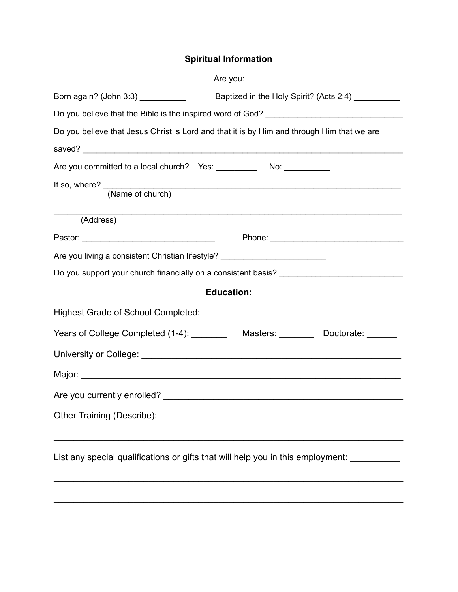## **Spiritual Information**

|                                                                                  | Are you:                                                                                                       |
|----------------------------------------------------------------------------------|----------------------------------------------------------------------------------------------------------------|
| Born again? (John 3:3) ___________                                               | Baptized in the Holy Spirit? (Acts 2:4) _________                                                              |
|                                                                                  |                                                                                                                |
|                                                                                  | Do you believe that Jesus Christ is Lord and that it is by Him and through Him that we are                     |
|                                                                                  |                                                                                                                |
|                                                                                  |                                                                                                                |
|                                                                                  | If so, where? (Name of church)                                                                                 |
| (Address)                                                                        | <u> 1989 - Johann Stoff, amerikansk politiker (d. 1989)</u>                                                    |
|                                                                                  |                                                                                                                |
| Are you living a consistent Christian lifestyle? _______________________________ |                                                                                                                |
|                                                                                  | Do you support your church financially on a consistent basis?                                                  |
|                                                                                  | <b>Education:</b>                                                                                              |
|                                                                                  |                                                                                                                |
|                                                                                  |                                                                                                                |
|                                                                                  | University or College: Note that the state of the state of the state of the state of the state of the state of |
|                                                                                  |                                                                                                                |
|                                                                                  |                                                                                                                |
|                                                                                  |                                                                                                                |
|                                                                                  | List any special qualifications or gifts that will help you in this employment:                                |
|                                                                                  |                                                                                                                |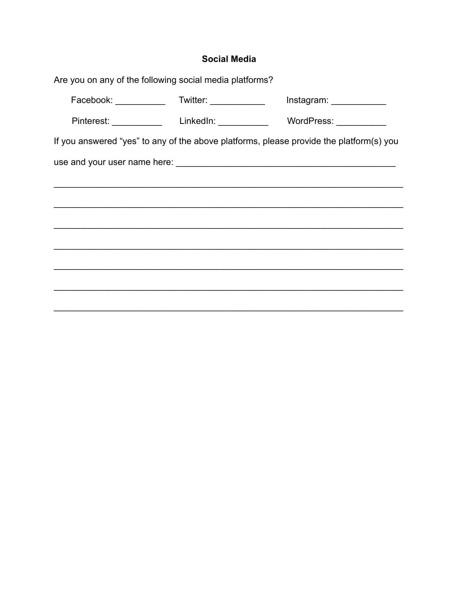### **Social Media**

| Are you on any of the following social media platforms?          |                                                |                                                                                         |
|------------------------------------------------------------------|------------------------------------------------|-----------------------------------------------------------------------------------------|
| Facebook: ___________                                            | Twitter: _____________                         |                                                                                         |
|                                                                  | Pinterest: _____________ LinkedIn: ___________ | WordPress: ___________                                                                  |
|                                                                  |                                                | If you answered "yes" to any of the above platforms, please provide the platform(s) you |
| use and your user name here:<br><u> and</u> your user name here: |                                                |                                                                                         |
|                                                                  |                                                |                                                                                         |
|                                                                  |                                                |                                                                                         |
|                                                                  |                                                |                                                                                         |
|                                                                  |                                                |                                                                                         |
|                                                                  |                                                |                                                                                         |
|                                                                  |                                                |                                                                                         |
|                                                                  |                                                |                                                                                         |
|                                                                  |                                                |                                                                                         |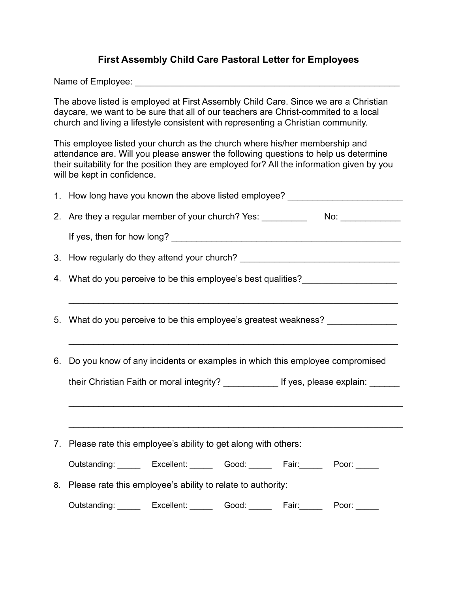### **First Assembly Child Care Pastoral Letter for Employees**

Name of Employee: \_\_\_\_\_\_\_\_\_\_\_\_\_\_\_\_\_\_\_\_\_\_\_\_\_\_\_\_\_\_\_\_\_\_\_\_\_\_\_\_\_\_\_\_\_\_\_\_\_\_\_\_\_

The above listed is employed at First Assembly Child Care. Since we are a Christian daycare, we want to be sure that all of our teachers are Christ-commited to a local church and living a lifestyle consistent with representing a Christian community.

This employee listed your church as the church where his/her membership and attendance are. Will you please answer the following questions to help us determine their suitability for the position they are employed for? All the information given by you will be kept in confidence.

| 1. How long have you known the above listed employee? __________________________        |  |  |  |  |  |
|-----------------------------------------------------------------------------------------|--|--|--|--|--|
| 2. Are they a regular member of your church? Yes: ______________________________        |  |  |  |  |  |
|                                                                                         |  |  |  |  |  |
| 3. How regularly do they attend your church? ___________________________________        |  |  |  |  |  |
| 4. What do you perceive to be this employee's best qualities?                           |  |  |  |  |  |
|                                                                                         |  |  |  |  |  |
| 5. What do you perceive to be this employee's greatest weakness? _______________        |  |  |  |  |  |
|                                                                                         |  |  |  |  |  |
| 6. Do you know of any incidents or examples in which this employee compromised          |  |  |  |  |  |
| their Christian Faith or moral integrity? ______________ If yes, please explain: ______ |  |  |  |  |  |
|                                                                                         |  |  |  |  |  |
|                                                                                         |  |  |  |  |  |
| 7. Please rate this employee's ability to get along with others:                        |  |  |  |  |  |
| Outstanding: Excellent: Good: Fair: Poor: Door:                                         |  |  |  |  |  |
| 8. Please rate this employee's ability to relate to authority:                          |  |  |  |  |  |
| Outstanding: Excellent: Good: Fair: Poor: Door:                                         |  |  |  |  |  |